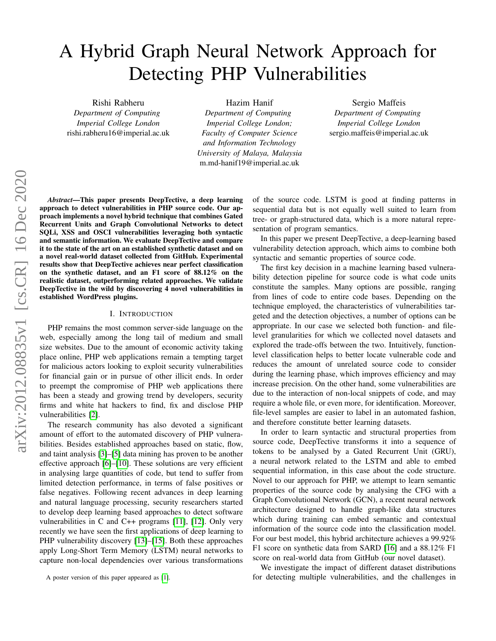# A Hybrid Graph Neural Network Approach for Detecting PHP Vulnerabilities

Rishi Rabheru *Department of Computing Imperial College London* rishi.rabheru16@imperial.ac.uk

Hazim Hanif *Department of Computing Imperial College London; Faculty of Computer Science and Information Technology University of Malaya, Malaysia* m.md-hanif19@imperial.ac.uk

Sergio Maffeis *Department of Computing Imperial College London* sergio.maffeis@imperial.ac.uk

*Abstract*—This paper presents DeepTective, a deep learning approach to detect vulnerabilities in PHP source code. Our approach implements a novel hybrid technique that combines Gated Recurrent Units and Graph Convolutional Networks to detect SQLi, XSS and OSCI vulnerabilities leveraging both syntactic and semantic information. We evaluate DeepTective and compare it to the state of the art on an established synthetic dataset and on a novel real-world dataset collected from GitHub. Experimental results show that DeepTective achieves near perfect classification on the synthetic dataset, and an F1 score of 88.12% on the realistic dataset, outperforming related approaches. We validate DeepTective in the wild by discovering 4 novel vulnerabilities in established WordPress plugins.

#### I. INTRODUCTION

PHP remains the most common server-side language on the web, especially among the long tail of medium and small size websites. Due to the amount of economic activity taking place online, PHP web applications remain a tempting target for malicious actors looking to exploit security vulnerabilities for financial gain or in pursue of other illicit ends. In order to preempt the compromise of PHP web applications there has been a steady and growing trend by developers, security firms and white hat hackers to find, fix and disclose PHP vulnerabilities [\[2\]](#page-11-0).

The research community has also devoted a significant amount of effort to the automated discovery of PHP vulnerabilities. Besides established approaches based on static, flow, and taint analysis [\[3\]](#page-11-1)–[\[5\]](#page-11-2) data mining has proven to be another effective approach [\[6\]](#page-11-3)–[\[10\]](#page-11-4). These solutions are very efficient in analysing large quantities of code, but tend to suffer from limited detection performance, in terms of false positives or false negatives. Following recent advances in deep learning and natural language processing, security researchers started to develop deep learning based approaches to detect software vulnerabilities in C and C++ programs [\[11\]](#page-11-5), [\[12\]](#page-11-6). Only very recently we have seen the first applications of deep learning to PHP vulnerability discovery [\[13\]](#page-11-7)–[\[15\]](#page-11-8). Both these approaches apply Long-Short Term Memory (LSTM) neural networks to capture non-local dependencies over various transformations of the source code. LSTM is good at finding patterns in sequential data but is not equally well suited to learn from tree- or graph-structured data, which is a more natural representation of program semantics.

In this paper we present DeepTective, a deep-learning based vulnerability detection approach, which aims to combine both syntactic and semantic properties of source code.

The first key decision in a machine learning based vulnerability detection pipeline for source code is what code units constitute the samples. Many options are possible, ranging from lines of code to entire code bases. Depending on the technique employed, the characteristics of vulnerabilities targeted and the detection objectives, a number of options can be appropriate. In our case we selected both function- and filelevel granularities for which we collected novel datasets and explored the trade-offs between the two. Intuitively, functionlevel classification helps to better locate vulnerable code and reduces the amount of unrelated source code to consider during the learning phase, which improves efficiency and may increase precision. On the other hand, some vulnerabilities are due to the interaction of non-local snippets of code, and may require a whole file, or even more, for identification. Moreover, file-level samples are easier to label in an automated fashion, and therefore constitute better learning datasets.

In order to learn syntactic and structural properties from source code, DeepTective transforms it into a sequence of tokens to be analysed by a Gated Recurrent Unit (GRU), a neural network related to the LSTM and able to embed sequential information, in this case about the code structure. Novel to our approach for PHP, we attempt to learn semantic properties of the source code by analysing the CFG with a Graph Convolutional Network (GCN), a recent neural network architecture designed to handle graph-like data structures which during training can embed semantic and contextual information of the source code into the classification model. For our best model, this hybrid architecture achieves a 99.92% F1 score on synthetic data from SARD [\[16\]](#page-11-10) and a 88.12% F1 score on real-world data from GitHub (our novel dataset).

We investigate the impact of different dataset distributions for detecting multiple vulnerabilities, and the challenges in

A poster version of this paper appeared as [\[1\]](#page-11-9).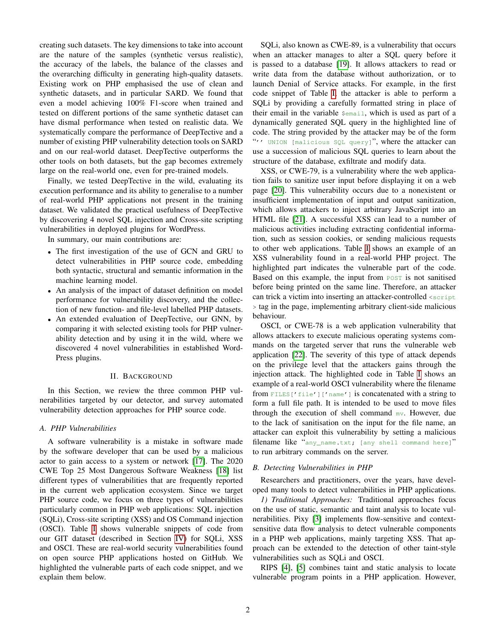creating such datasets. The key dimensions to take into account are the nature of the samples (synthetic versus realistic), the accuracy of the labels, the balance of the classes and the overarching difficulty in generating high-quality datasets. Existing work on PHP emphasised the use of clean and synthetic datasets, and in particular SARD. We found that even a model achieving 100% F1-score when trained and tested on different portions of the same synthetic dataset can have dismal performance when tested on realistic data. We systematically compare the performance of DeepTective and a number of existing PHP vulnerability detection tools on SARD and on our real-world dataset. DeepTective outperforms the other tools on both datasets, but the gap becomes extremely large on the real-world one, even for pre-trained models.

Finally, we tested DeepTective in the wild, evaluating its execution performance and its ability to generalise to a number of real-world PHP applications not present in the training dataset. We validated the practical usefulness of DeepTective by discovering 4 novel SQL injection and Cross-site scripting vulnerabilities in deployed plugins for WordPress.

In summary, our main contributions are:

- The first investigation of the use of GCN and GRU to detect vulnerabilities in PHP source code, embedding both syntactic, structural and semantic information in the machine learning model.
- An analysis of the impact of dataset definition on model performance for vulnerability discovery, and the collection of new function- and file-level labelled PHP datasets.
- An extended evaluation of DeepTective, our GNN, by comparing it with selected existing tools for PHP vulnerability detection and by using it in the wild, where we discovered 4 novel vulnerabilities in established Word-Press plugins.

#### II. BACKGROUND

In this Section, we review the three common PHP vulnerabilities targeted by our detector, and survey automated vulnerability detection approaches for PHP source code.

# *A. PHP Vulnerabilities*

A software vulnerability is a mistake in software made by the software developer that can be used by a malicious actor to gain access to a system or network [\[17\]](#page-11-11). The 2020 CWE Top 25 Most Dangerous Software Weakness [\[18\]](#page-11-12) list different types of vulnerabilities that are frequently reported in the current web application ecosystem. Since we target PHP source code, we focus on three types of vulnerabilities particularly common in PHP web applications: SQL injection (SQLi), Cross-site scripting (XSS) and OS Command injection (OSCI). Table [I](#page-2-0) shows vulnerable snippets of code from our GIT dataset (described in Section [IV\)](#page-4-0) for SQLi, XSS and OSCI. These are real-world security vulnerabilities found on open source PHP applications hosted on GitHub. We highlighted the vulnerable parts of each code snippet, and we explain them below.

SQLi, also known as CWE-89, is a vulnerability that occurs when an attacker manages to alter a SQL query before it is passed to a database [\[19\]](#page-11-13). It allows attackers to read or write data from the database without authorization, or to launch Denial of Service attacks. For example, in the first code snippet of Table [I,](#page-2-0) the attacker is able to perform a SQLi by providing a carefully formatted string in place of their email in the variable  $\frac{1}{2}$  semail, which is used as part of a dynamically generated SQL query in the highlighted line of code. The string provided by the attacker may be of the form "'' UNION [malicious SQL query]", where the attacker can use a succession of malicious SQL queries to learn about the structure of the database, exfiltrate and modify data.

XSS, or CWE-79, is a vulnerability where the web application fails to sanitize user input before displaying it on a web page [\[20\]](#page-11-14). This vulnerability occurs due to a nonexistent or insufficient implementation of input and output sanitization, which allows attackers to inject arbitrary JavaScript into an HTML file [\[21\]](#page-11-15). A successful XSS can lead to a number of malicious activities including extracting confidential information, such as session cookies, or sending malicious requests to other web applications. Table [I](#page-2-0) shows an example of an XSS vulnerability found in a real-world PHP project. The highlighted part indicates the vulnerable part of the code. Based on this example, the input from POST is not sanitised before being printed on the same line. Therefore, an attacker can trick a victim into inserting an attacker-controlled <script > tag in the page, implementing arbitrary client-side malicious behaviour.

OSCI, or CWE-78 is a web application vulnerability that allows attackers to execute malicious operating systems commands on the targeted server that runs the vulnerable web application [\[22\]](#page-11-16). The severity of this type of attack depends on the privilege level that the attackers gains through the injection attack. The highlighted code in Table [I](#page-2-0) shows an example of a real-world OSCI vulnerability where the filename from FILES['file']['name'] is concatenated with a string to form a full file path. It is intended to be used to move files through the execution of shell command mv. However, due to the lack of sanitisation on the input for the file name, an attacker can exploit this vulnerability by setting a malicious filename like "any\_name.txt; [any shell command here]" to run arbitrary commands on the server.

## *B. Detecting Vulnerabilities in PHP*

Researchers and practitioners, over the years, have developed many tools to detect vulnerabilities in PHP applications.

*1) Traditional Approaches:* Traditional approaches focus on the use of static, semantic and taint analysis to locate vulnerabilities. Pixy [\[3\]](#page-11-1) implements flow-sensitive and contextsensitive data flow analysis to detect vulnerable components in a PHP web applications, mainly targeting XSS. That approach can be extended to the detection of other taint-style vulnerabilities such as SQLi and OSCI.

RIPS [\[4\]](#page-11-17), [\[5\]](#page-11-2) combines taint and static analysis to locate vulnerable program points in a PHP application. However,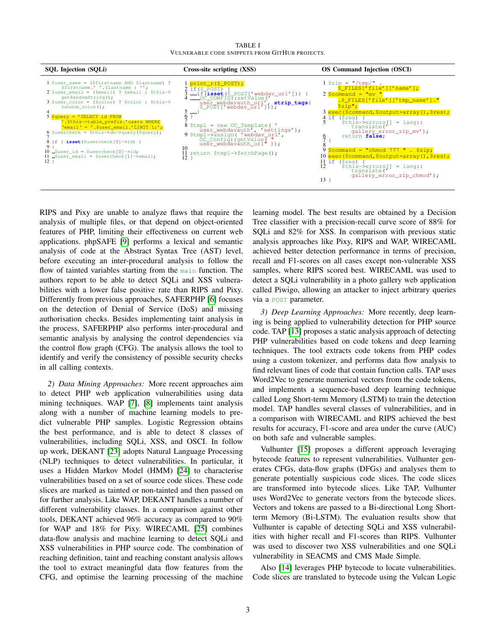TABLE I VULNERABLE CODE SNIPPETS FROM GITHUB PROJECTS.

<span id="page-2-0"></span>

| SQL Injection (SQLi)                                                                                                                                                                                                                                                                                                                                                                                                                                                                                                                                                         | Cross-site scripting (XSS)                                                                                                                                                                                                                                                                                                                                              | <b>OS Command Injection (OSCI)</b>                                                                                                                                                                                                                                                                                                                                                                                                                                                                                                                                                                                                                                                                                                                                     |
|------------------------------------------------------------------------------------------------------------------------------------------------------------------------------------------------------------------------------------------------------------------------------------------------------------------------------------------------------------------------------------------------------------------------------------------------------------------------------------------------------------------------------------------------------------------------------|-------------------------------------------------------------------------------------------------------------------------------------------------------------------------------------------------------------------------------------------------------------------------------------------------------------------------------------------------------------------------|------------------------------------------------------------------------------------------------------------------------------------------------------------------------------------------------------------------------------------------------------------------------------------------------------------------------------------------------------------------------------------------------------------------------------------------------------------------------------------------------------------------------------------------------------------------------------------------------------------------------------------------------------------------------------------------------------------------------------------------------------------------------|
| 1 \$user name = (\$firstname AND \$lastname) ?<br>\$firstname.''.\$lastname:'';<br>$2$ \$user email = (\$email) ? \$email : \$this-><br>qetRandomString();<br>$3$ \$user color = (\$color) ? \$color : \$this-><br>$random color()$ ;<br>$5$ Squery = 'SELECT id FROM<br>'.\$this->table_prefix.'users WHERE<br>$'$ email' = '.\$user email.'LIMIT 1;';<br>6 \$usercheck = \$this->db->query(\$query);<br>$8$ if ( <b>isset</b> (\$usercheck[0]->id) )<br>10 $\text{\LARGE}$ suser id = \$usercheck $[0]$ ->id;<br>11 $\text{L}$ Suser email = Susercheck [1] ->email;<br>12 | $1$ print_r(\$_POST);<br>$2$ if $(S$ POST)<br>LLOC CONFIGT: setValue ('<br>user webdavauth url', strip tags (<br>$$$ POST['webdav $\overline{u}$ rl']));<br>$8$ \$tmpl = new OC_Template ('<br>user_webdavauth', 'settings');<br>9 \$tmpl->assign( 'webdav_url',<br>OC_Config:: getValue("<br>$user_webdavauth_url", )$ ;<br>10<br>ll return \$tmpl->fetchPage();<br>12 | $1 \,$ \$zip = "/tmp/".<br>$\S$ Files ['file'] ['name'];<br>$2$ Scommand = "mv "<br>$\frac{1}{2}$ $\frac{1}{2}$ $\frac{1}{2}$ $\frac{1}{2}$ $\frac{1}{2}$ $\frac{1}{2}$ $\frac{1}{2}$ $\frac{1}{2}$ $\frac{1}{2}$ $\frac{1}{2}$ $\frac{1}{2}$ $\frac{1}{2}$ $\frac{1}{2}$ $\frac{1}{2}$ $\frac{1}{2}$ $\frac{1}{2}$ $\frac{1}{2}$ $\frac{1}{2}$ $\frac{1}{2}$ $\frac{1}{2}$ $\frac{1}{2}$ $\frac{1}{2}$<br>\$zip";<br>3 exec(\$command,\$output=array(),\$res);<br>4 if (Sres)<br>$$this$ ->errors $[] =$ lang::<br>translate('<br>qallery_error_zip_mv');<br>return false;<br>9 Scommand = "chmod 777 " . \$zip;<br>l0 exec(\$command,\$output=array(),\$res);<br>$11$ if $(sres)$<br>$$this$ ->errors[] = lang::<br>translate ('<br>qallery_error_zip_chmod');<br>13 |

RIPS and Pixy are unable to analyze flaws that require the analysis of multiple files, or that depend on object-oriented features of PHP, limiting their effectiveness on current web applications. phpSAFE [\[9\]](#page-11-18) performs a lexical and semantic analysis of code at the Abstract Syntax Tree (AST) level, before executing an inter-procedural analysis to follow the flow of tainted variables starting from the main function. The authors report to be able to detect SQLi and XSS vulnerabilities with a lower false positive rate than RIPS and Pixy. Differently from previous approaches, SAFERPHP [\[6\]](#page-11-3) focuses on the detection of Denial of Service (DoS) and missing authorisation checks. Besides implementing taint analysis in the process, SAFERPHP also performs inter-procedural and semantic analysis by analysing the control dependencies via the control flow graph (CFG). The analysis allows the tool to identify and verify the consistency of possible security checks in all calling contexts.

*2) Data Mining Approaches:* More recent approaches aim to detect PHP web application vulnerabilities using data mining techniques. WAP [\[7\]](#page-11-19), [\[8\]](#page-11-20) implements taint analysis along with a number of machine learning models to predict vulnerable PHP samples. Logistic Regression obtains the best performance, and is able to detect 8 classes of vulnerabilities, including SQLi, XSS, and OSCI. In follow up work, DEKANT [\[23\]](#page-12-0) adopts Natural Language Processing (NLP) techniques to detect vulnerabilities. In particular, it uses a Hidden Markov Model (HMM) [\[24\]](#page-12-1) to characterise vulnerabilities based on a set of source code slices. These code slices are marked as tainted or non-tainted and then passed on for further analysis. Like WAP, DEKANT handles a number of different vulnerability classes. In a comparison against other tools, DEKANT achieved 96% accuracy as compared to 90% for WAP and 18% for Pixy. WIRECAML [\[25\]](#page-12-2) combines data-flow analysis and machine learning to detect SQLi and XSS vulnerabilities in PHP source code. The combination of reaching definition, taint and reaching constant analysis allows the tool to extract meaningful data flow features from the CFG, and optimise the learning processing of the machine learning model. The best results are obtained by a Decision Tree classifier with a precision-recall curve score of 88% for SQLi and 82% for XSS. In comparison with previous static analysis approaches like Pixy, RIPS and WAP, WIRECAML achieved better detection performance in terms of precision, recall and F1-scores on all cases except non-vulnerable XSS samples, where RIPS scored best. WIRECAML was used to detect a SQLi vulnerability in a photo gallery web application called Piwigo, allowing an attacker to inject arbitrary queries via a POST parameter.

*3) Deep Learning Approaches:* More recently, deep learning is being applied to vulnerability detection for PHP source code. TAP [\[13\]](#page-11-7) proposes a static analysis approach of detecting PHP vulnerabilities based on code tokens and deep learning techniques. The tool extracts code tokens from PHP codes using a custom tokenizer, and performs data flow analysis to find relevant lines of code that contain function calls. TAP uses Word2Vec to generate numerical vectors from the code tokens, and implements a sequence-based deep learning technique called Long Short-term Memory (LSTM) to train the detection model. TAP handles several classes of vulnerabilities, and in a comparison with WIRECAML and RIPS achieved the best results for accuracy, F1-score and area under the curve (AUC) on both safe and vulnerable samples.

Vulhunter [\[15\]](#page-11-8) proposes a different approach leveraging bytecode features to represent vulnerabilities. Vulhunter generates CFGs, data-flow graphs (DFGs) and analyses them to generate potentially suspicious code slices. The code slices are transformed into bytecode slices. Like TAP, Vulhunter uses Word2Vec to generate vectors from the bytecode slices. Vectors and tokens are passed to a Bi-directional Long Shortterm Memory (Bi-LSTM). The evaluation results show that Vulhunter is capable of detecting SQLi and XSS vulnerabilities with higher recall and F1-scores than RIPS. Vulhunter was used to discover two XSS vulnerabilities and one SQLi vulnerability in SEACMS and CMS Made Simple.

Also [\[14\]](#page-11-21) leverages PHP bytecode to locate vulnerabilities. Code slices are translated to bytecode using the Vulcan Logic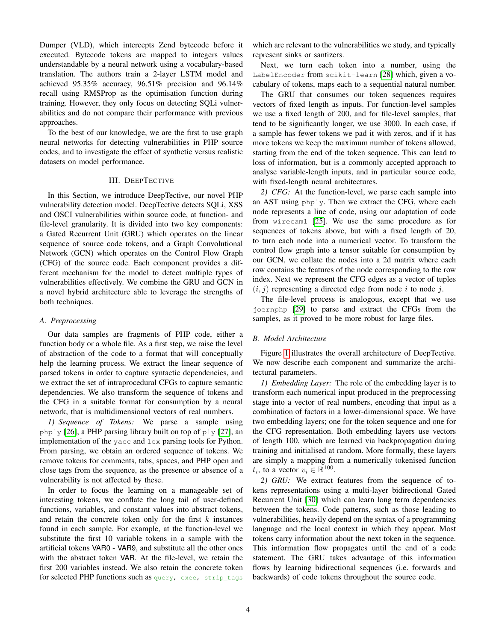Dumper (VLD), which intercepts Zend bytecode before it executed. Bytecode tokens are mapped to integers values understandable by a neural network using a vocabulary-based translation. The authors train a 2-layer LSTM model and achieved 95.35% accuracy, 96.51% precision and 96.14% recall using RMSProp as the optimisation function during training. However, they only focus on detecting SQLi vulnerabilities and do not compare their performance with previous approaches.

To the best of our knowledge, we are the first to use graph neural networks for detecting vulnerabilities in PHP source codes, and to investigate the effect of synthetic versus realistic datasets on model performance.

## III. DEEPTECTIVE

<span id="page-3-0"></span>In this Section, we introduce DeepTective, our novel PHP vulnerability detection model. DeepTective detects SQLi, XSS and OSCI vulnerabilities within source code, at function- and file-level granularity. It is divided into two key components: a Gated Recurrent Unit (GRU) which operates on the linear sequence of source code tokens, and a Graph Convolutional Network (GCN) which operates on the Control Flow Graph (CFG) of the source code. Each component provides a different mechanism for the model to detect multiple types of vulnerabilities effectively. We combine the GRU and GCN in a novel hybrid architecture able to leverage the strengths of both techniques.

# *A. Preprocessing*

Our data samples are fragments of PHP code, either a function body or a whole file. As a first step, we raise the level of abstraction of the code to a format that will conceptually help the learning process. We extract the linear sequence of parsed tokens in order to capture syntactic dependencies, and we extract the set of intraprocedural CFGs to capture semantic dependencies. We also transform the sequence of tokens and the CFG in a suitable format for consumption by a neural network, that is multidimensional vectors of real numbers.

*1) Sequence of Tokens:* We parse a sample using  $php1y$  [\[26\]](#page-12-3), a PHP parsing library built on top of  $p1y$  [\[27\]](#page-12-4), an implementation of the yacc and lex parsing tools for Python. From parsing, we obtain an ordered sequence of tokens. We remove tokens for comments, tabs, spaces, and PHP open and close tags from the sequence, as the presence or absence of a vulnerability is not affected by these.

In order to focus the learning on a manageable set of interesting tokens, we conflate the long tail of user-defined functions, variables, and constant values into abstract tokens, and retain the concrete token only for the first  $k$  instances found in each sample. For example, at the function-level we substitute the first 10 variable tokens in a sample with the artificial tokens VAR0 - VAR9, and substitute all the other ones with the abstract token VAR. At the file-level, we retain the first 200 variables instead. We also retain the concrete token for selected PHP functions such as query, exec, strip\_tags

which are relevant to the vulnerabilities we study, and typically represent sinks or santizers.

Next, we turn each token into a number, using the LabelEncoder from scikit-learn [\[28\]](#page-12-5) which, given a vocabulary of tokens, maps each to a sequential natural number.

The GRU that consumes our token sequences requires vectors of fixed length as inputs. For function-level samples we use a fixed length of 200, and for file-level samples, that tend to be significantly longer, we use 3000. In each case, if a sample has fewer tokens we pad it with zeros, and if it has more tokens we keep the maximum number of tokens allowed, starting from the end of the token sequence. This can lead to loss of information, but is a commonly accepted approach to analyse variable-length inputs, and in particular source code, with fixed-length neural architectures.

*2) CFG:* At the function-level, we parse each sample into an AST using phply. Then we extract the CFG, where each node represents a line of code, using our adaptation of code from wirecaml [\[25\]](#page-12-2). We use the same procedure as for sequences of tokens above, but with a fixed length of 20, to turn each node into a numerical vector. To transform the control flow graph into a tensor suitable for consumption by our GCN, we collate the nodes into a 2d matrix where each row contains the features of the node corresponding to the row index. Next we represent the CFG edges as a vector of tuples  $(i, j)$  representing a directed edge from node i to node j.

The file-level process is analogous, except that we use joernphp [\[29\]](#page-12-6) to parse and extract the CFGs from the samples, as it proved to be more robust for large files.

# *B. Model Architecture*

Figure [1](#page-4-1) illustrates the overall architecture of DeepTective. We now describe each component and summarize the architectural parameters.

*1) Embedding Layer:* The role of the embedding layer is to transform each numerical input produced in the preprocessing stage into a vector of real numbers, encoding that input as a combination of factors in a lower-dimensional space. We have two embedding layers; one for the token sequence and one for the CFG representation. Both embedding layers use vectors of length 100, which are learned via backpropagation during training and initialised at random. More formally, these layers are simply a mapping from a numerically tokenised function  $t_i$ , to a vector  $v_i \in \mathbb{R}^{100}$ .

*2) GRU:* We extract features from the sequence of tokens representations using a multi-layer bidirectional Gated Recurrent Unit [\[30\]](#page-12-7) which can learn long term dependencies between the tokens. Code patterns, such as those leading to vulnerabilities, heavily depend on the syntax of a programming language and the local context in which they appear. Most tokens carry information about the next token in the sequence. This information flow propagates until the end of a code statement. The GRU takes advantage of this information flows by learning bidirectional sequences (i.e. forwards and backwards) of code tokens throughout the source code.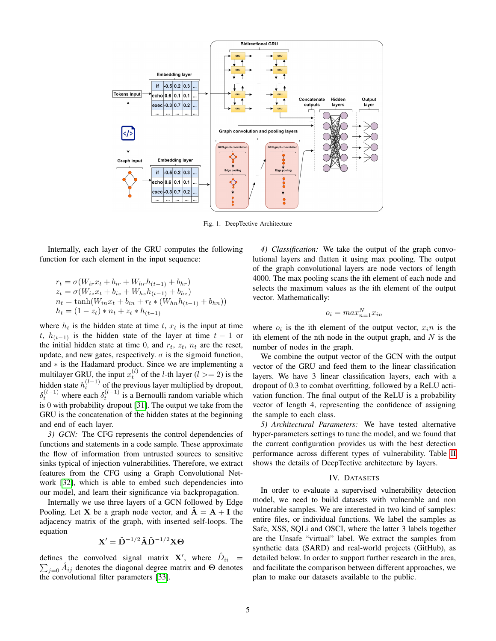

<span id="page-4-1"></span>Fig. 1. DeepTective Architecture

Internally, each layer of the GRU computes the following function for each element in the input sequence:

$$
r_t = \sigma(W_{ir}x_t + b_{ir} + W_{hr}h_{(t-1)} + b_{hr})
$$
  
\n
$$
z_t = \sigma(W_{iz}x_t + b_{iz} + W_{hz}h_{(t-1)} + b_{hz})
$$
  
\n
$$
n_t = \tanh(W_{in}x_t + b_{in} + r_t * (W_{hn}h_{(t-1)} + b_{hn}))
$$
  
\n
$$
h_t = (1 - z_t) * n_t + z_t * h_{(t-1)}
$$

where  $h_t$  is the hidden state at time t,  $x_t$  is the input at time t,  $h(t-1)$  is the hidden state of the layer at time  $t-1$  or the initial hidden state at time 0, and  $r_t$ ,  $z_t$ ,  $n_t$  are the reset, update, and new gates, respectively.  $\sigma$  is the sigmoid function, and ∗ is the Hadamard product. Since we are implementing a multilayer GRU, the input  $x_t^{(l)}$  of the *l*-th layer (*l* > = 2) is the hidden state  $h_t^{(l-1)}$  of the previous layer multiplied by dropout,  $\delta_t^{(l-1)}$  where each  $\delta_t^{(l-1)}$  is a Bernoulli random variable which is 0 with probability dropout [\[31\]](#page-12-8). The output we take from the GRU is the concatenation of the hidden states at the beginning and end of each layer.

3) GCN: The CFG represents the control dependencies of functions and statements in a code sample. These approximate the flow of information from untrusted sources to sensitive sinks typical of injection vulnerabilities. Therefore, we extract features from the CFG using a Graph Convolutional Net-work [\[32\]](#page-12-9), which is able to embed such dependencies into our model, and learn their significance via backpropagation.

Internally we use three layers of a GCN followed by Edge Pooling. Let **X** be a graph node vector, and  $\mathbf{A} = \mathbf{A} + \mathbf{I}$  the adjacency matrix of the graph, with inserted self-loops. The equation

$$
\mathbf{X}' = \hat{\mathbf{D}}^{-1/2} \hat{\mathbf{A}} \hat{\mathbf{D}}^{-1/2} \mathbf{X} \boldsymbol{\Theta}
$$

defines the convolved signal matrix **X'**, where  $\hat{D}_{ii}$  =  $\sum_{j=0} \hat{A}_{ij}$  denotes the diagonal degree matrix and  $\Theta$  denotes the convolutional filter parameters [\[33\]](#page-12-10).

*4) Classification:* We take the output of the graph convolutional layers and flatten it using max pooling. The output of the graph convolutional layers are node vectors of length 4000. The max pooling scans the ith element of each node and selects the maximum values as the ith element of the output vector. Mathematically:

$$
o_i = \max_{n=1}^{N} x_{in}
$$

where  $o_i$  is the ith element of the output vector,  $x_i n$  is the ith element of the nth node in the output graph, and  $N$  is the number of nodes in the graph.

We combine the output vector of the GCN with the output vector of the GRU and feed them to the linear classification layers. We have 3 linear classification layers, each with a dropout of 0.3 to combat overfitting, followed by a ReLU activation function. The final output of the ReLU is a probability vector of length 4, representing the confidence of assigning the sample to each class.

*5) Architectural Parameters:* We have tested alternative hyper-parameters settings to tune the model, and we found that the current configuration provides us with the best detection performance across different types of vulnerability. Table [II](#page-5-0) shows the details of DeepTective architecture by layers.

#### IV. DATASETS

<span id="page-4-0"></span>In order to evaluate a supervised vulnerability detection model, we need to build datasets with vulnerable and non vulnerable samples. We are interested in two kind of samples: entire files, or individual functions. We label the samples as Safe, XSS, SQLi and OSCI, where the latter 3 labels together are the Unsafe "virtual" label. We extract the samples from synthetic data (SARD) and real-world projects (GitHub), as detailed below. In order to support further research in the area, and facilitate the comparison between different approaches, we plan to make our datasets available to the public.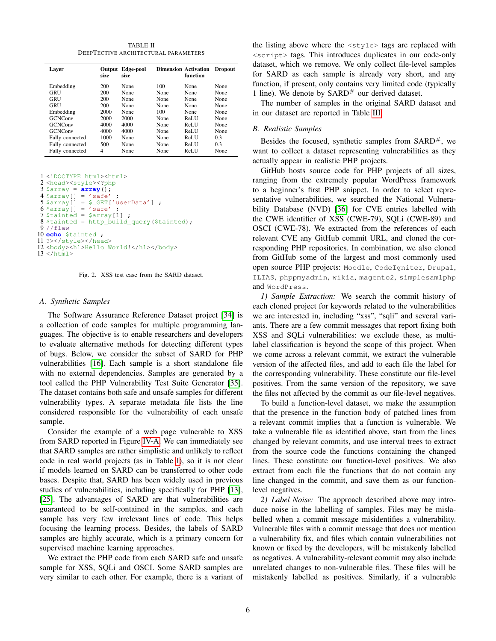TABLE II DEEPTECTIVE ARCHITECTURAL PARAMETERS

<span id="page-5-0"></span>

| Laver           | size | Output Edge-pool<br>size |             | <b>Dimension Activation</b><br>function | <b>Dropout</b> |
|-----------------|------|--------------------------|-------------|-----------------------------------------|----------------|
| Embedding       | 200  | None                     | 100         | None                                    | None           |
| GRU             | 200  | None                     | None        | None                                    | None           |
| GRU             | 200  | None                     | None        | None                                    | None           |
| GRU             | 200  | None                     | None        | None                                    | None           |
| Embedding       | 2000 | None                     | 100         | None                                    | None           |
| <b>GCNConv</b>  | 2000 | 2000                     | <b>None</b> | ReLU                                    | None           |
| <b>GCNConv</b>  | 4000 | 4000                     | None        | ReLU                                    | None           |
| <b>GCNConv</b>  | 4000 | 4000                     | None        | ReLU                                    | None           |
| Fully connected | 1000 | None                     | None        | ReLU                                    | 0.3            |
| Fully connected | 500  | None                     | <b>None</b> | ReLU                                    | 0.3            |
| Fully connected | 4    | None                     | None        | ReLU                                    | None           |

```
1 <!DOCTYPE html><html>
2 <head><style><?php
3 $array = array();
4 \text{~Sarray} [] = \text{′safe}5 \text{ Sarray} = \text{S\_GET['userData']};<br>6 \text{Sarray} = 'safe';
 7 $tainted = $array[1] ;
8 $tainted = http_build_query($tainted);
9 //flaw
10 echo $tainted ;
11 ?></style></head>
12 <body><h1>Hello World!</h1></body>
13 </html>
```
Fig. 2. XSS test case from the SARD dataset.

## <span id="page-5-1"></span>*A. Synthetic Samples*

The Software Assurance Reference Dataset project [\[34\]](#page-12-11) is a collection of code samples for multiple programming languages. The objective is to enable researchers and developers to evaluate alternative methods for detecting different types of bugs. Below, we consider the subset of SARD for PHP vulnerabilities [\[16\]](#page-11-10). Each sample is a short standalone file with no external dependencies. Samples are generated by a tool called the PHP Vulnerability Test Suite Generator [\[35\]](#page-12-12). The dataset contains both safe and unsafe samples for different vulnerability types. A separate metadata file lists the line considered responsible for the vulnerability of each unsafe sample.

Consider the example of a web page vulnerable to XSS from SARD reported in Figure [IV-A.](#page-5-1) We can immediately see that SARD samples are rather simplistic and unlikely to reflect code in real world projects (as in Table [I\)](#page-2-0), so it is not clear if models learned on SARD can be transferred to other code bases. Despite that, SARD has been widely used in previous studies of vulnerabilities, including specifically for PHP [\[13\]](#page-11-7), [\[25\]](#page-12-2). The advantages of SARD are that vulnerabilities are guaranteed to be self-contained in the samples, and each sample has very few irrelevant lines of code. This helps focusing the learning process. Besides, the labels of SARD samples are highly accurate, which is a primary concern for supervised machine learning approaches.

We extract the PHP code from each SARD safe and unsafe sample for XSS, SQLi and OSCI. Some SARD samples are very similar to each other. For example, there is a variant of the listing above where the <style> tags are replaced with <script> tags. This introduces duplicates in our code-only dataset, which we remove. We only collect file-level samples for SARD as each sample is already very short, and any function, if present, only contains very limited code (typically 1 line). We denote by  $SARD^{\#}$  our derived dataset.

The number of samples in the original SARD dataset and in our dataset are reported in Table [III.](#page-6-0)

#### *B. Realistic Samples*

Besides the focused, synthetic samples from  $SARD^{\#}$ , we want to collect a dataset representing vulnerabilities as they actually appear in realistic PHP projects.

GitHub hosts source code for PHP projects of all sizes, ranging from the extremely popular WordPress framework to a beginner's first PHP snippet. In order to select representative vulnerabilities, we searched the National Vulnerability Database (NVD) [\[36\]](#page-12-13) for CVE entries labelled with the CWE identifier of XSS (CWE-79), SQLi (CWE-89) and OSCI (CWE-78). We extracted from the references of each relevant CVE any GitHub commit URL, and cloned the corresponding PHP repositories. In combination, we also cloned from GitHub some of the largest and most commonly used open source PHP projects: Moodle, CodeIgniter, Drupal, ILIAS, phppmyadmin, wikia, magento2, simplesamlphp and WordPress.

*1) Sample Extraction:* We search the commit history of each cloned project for keywords related to the vulnerabilities we are interested in, including "xss", "sqli" and several variants. There are a few commit messages that report fixing both XSS and SQLi vulnerabilities: we exclude these, as multilabel classification is beyond the scope of this project. When we come across a relevant commit, we extract the vulnerable version of the affected files, and add to each file the label for the corresponding vulnerability. These constitute our file-level positives. From the same version of the repository, we save the files not affected by the commit as our file-level negatives.

To build a function-level dataset, we make the assumption that the presence in the function body of patched lines from a relevant commit implies that a function is vulnerable. We take a vulnerable file as identified above, start from the lines changed by relevant commits, and use interval trees to extract from the source code the functions containing the changed lines. These constitute our function-level positives. We also extract from each file the functions that do not contain any line changed in the commit, and save them as our functionlevel negatives.

*2) Label Noise:* The approach described above may introduce noise in the labelling of samples. Files may be mislabelled when a commit message misidentifies a vulnerability. Vulnerable files with a commit message that does not mention a vulnerability fix, and files which contain vulnerabilities not known or fixed by the developers, will be mistakenly labelled as negatives. A vulnerability-relevant commit may also include unrelated changes to non-vulnerable files. These files will be mistakenly labelled as positives. Similarly, if a vulnerable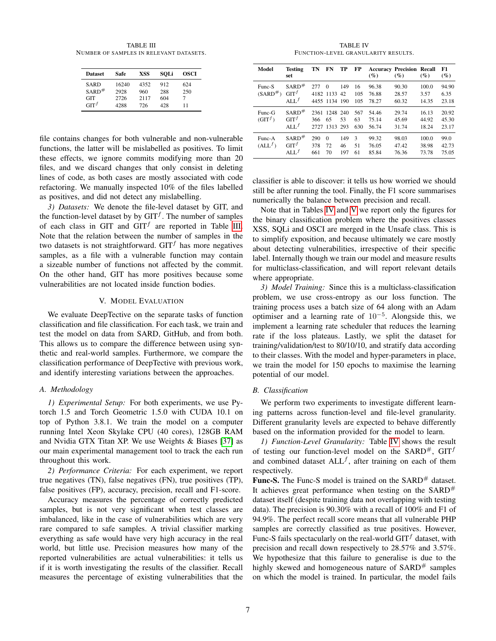<span id="page-6-0"></span>TABLE III NUMBER OF SAMPLES IN RELEVANT DATASETS.

| <b>Dataset</b>     | Safe  | XSS  | SOLi | OSCI |
|--------------------|-------|------|------|------|
| <b>SARD</b>        | 16240 | 4352 | 912  | 624  |
| $SARD^{\#}$        | 2928  | 960  | 288  | 250  |
| <b>GIT</b>         | 2726  | 2117 | 604  |      |
| $GIT$ <sup>f</sup> | 4288  | 726  | 428  | 11   |

file contains changes for both vulnerable and non-vulnerable functions, the latter will be mislabelled as positives. To limit these effects, we ignore commits modifying more than 20 files, and we discard changes that only consist in deleting lines of code, as both cases are mostly associated with code refactoring. We manually inspected 10% of the files labelled as positives, and did not detect any mislabelling.

*3) Datasets:* We denote the file-level dataset by GIT, and the function-level dataset by by  $GIT<sup>f</sup>$ . The number of samples of each class in GIT and  $\text{GIT}^f$  are reported in Table [III.](#page-6-0) Note that the relation between the number of samples in the two datasets is not straightforward.  $\text{GIT}^f$  has more negatives samples, as a file with a vulnerable function may contain a sizeable number of functions not affected by the commit. On the other hand, GIT has more positives because some vulnerabilities are not located inside function bodies.

## V. MODEL EVALUATION

We evaluate DeepTective on the separate tasks of function classification and file classification. For each task, we train and test the model on data from SARD, GitHub, and from both. This allows us to compare the difference between using synthetic and real-world samples. Furthermore, we compare the classification performance of DeepTective with previous work, and identify interesting variations between the approaches.

### *A. Methodology*

*1) Experimental Setup:* For both experiments, we use Pytorch 1.5 and Torch Geometric 1.5.0 with CUDA 10.1 on top of Python 3.8.1. We train the model on a computer running Intel Xeon Skylake CPU (40 cores), 128GB RAM and Nvidia GTX Titan XP. We use Weights & Biases [\[37\]](#page-12-14) as our main experimental management tool to track the each run throughout this work.

*2) Performance Criteria:* For each experiment, we report true negatives (TN), false negatives (FN), true positives (TP), false positives (FP), accuracy, precision, recall and F1-score.

Accuracy measures the percentage of correctly predicted samples, but is not very significant when test classes are imbalanced, like in the case of vulnerabilities which are very rare compared to safe samples. A trivial classifier marking everything as safe would have very high accuracy in the real world, but little use. Precision measures how many of the reported vulnerabilities are actual vulnerabilities: it tells us if it is worth investigating the results of the classifier. Recall measures the percentage of existing vulnerabilities that the

TABLE IV FUNCTION-LEVEL GRANULARITY RESULTS.

<span id="page-6-1"></span>

| Model                   | <b>Testing</b><br>set                       | TN                  | FN                                     | TP               | FP               | $($ %)                  | <b>Accuracy Precision Recall</b><br>$($ %) | $($ %)                  | F1<br>$(\%)$            |
|-------------------------|---------------------------------------------|---------------------|----------------------------------------|------------------|------------------|-------------------------|--------------------------------------------|-------------------------|-------------------------|
| Func-S<br>$(SARD^{\#})$ | $SARD^{\#}$<br>$\mathrm{GIT}^f$<br>ALL $^f$ | 277                 | $\Omega$<br>4182 1133<br>4455 1134 190 | 149<br>42        | 16<br>105<br>105 | 96.38<br>76.88<br>78.27 | 90.30<br>28.57<br>60.32                    | 100.0<br>3.57<br>14.35  | 94.90<br>6.35<br>23.18  |
| Func-G<br>$(GIT^f)$     | $SARD^{\#}$<br>GIT <sup>f</sup><br>ALL $^f$ | 2361<br>366<br>2727 | 1248 240<br>65<br>1313 293             | 53               | 567<br>63<br>630 | 54.46<br>75.14<br>56.74 | 29.74<br>45.69<br>31.74                    | 16.13<br>44.92<br>18.24 | 20.92<br>45.30<br>23.17 |
| Func-A<br>$(ALL^f)$     | $SARD^{\#}$<br>$\text{GIT}^f$<br>ALL $^f$   | 290<br>378<br>661   | $\Omega$<br>72<br>70                   | 149<br>46<br>197 | 3<br>51<br>61    | 99.32<br>76.05<br>85.84 | 98.03<br>47.42<br>76.36                    | 100.0<br>38.98<br>73.78 | 99.0<br>42.73<br>75.05  |

classifier is able to discover: it tells us how worried we should still be after running the tool. Finally, the F1 score summarises numerically the balance between precision and recall.

Note that in Tables [IV](#page-6-1) and [V](#page-7-0) we report only the figures for the binary classification problem where the positives classes XSS, SQLi and OSCI are merged in the Unsafe class. This is to simplify exposition, and because ultimately we care mostly about detecting vulnerabilities, irrespective of their specific label. Internally though we train our model and measure results for multiclass-classification, and will report relevant details where appropriate.

*3) Model Training:* Since this is a multiclass-classification problem, we use cross-entropy as our loss function. The training process uses a batch size of 64 along with an Adam optimiser and a learning rate of  $10^{-5}$ . Alongside this, we implement a learning rate scheduler that reduces the learning rate if the loss plateaus. Lastly, we split the dataset for training/validation/test to 80/10/10, and stratify data according to their classes. With the model and hyper-parameters in place, we train the model for 150 epochs to maximise the learning potential of our model.

### <span id="page-6-2"></span>*B. Classification*

We perform two experiments to investigate different learning patterns across function-level and file-level granularity. Different granularity levels are expected to behave differently based on the information provided for the model to learn.

*1) Function-Level Granularity:* Table [IV](#page-6-1) shows the result of testing our function-level model on the SARD<sup>#</sup>, GIT<sup>f</sup> and combined dataset  $ALL<sup>f</sup>$ , after training on each of them respectively.

**Func-S.** The Func-S model is trained on the  $SARD^{\#}$  dataset. It achieves great performance when testing on the SARD# dataset itself (despite training data not overlapping with testing data). The precision is 90.30% with a recall of 100% and F1 of 94.9%. The perfect recall score means that all vulnerable PHP samples are correctly classified as true positives. However, Func-S fails spectacularly on the real-world  $\text{GIT}^f$  dataset, with precision and recall down respectively to 28.57% and 3.57%. We hypothesize that this failure to generalise is due to the highly skewed and homogeneous nature of  $SARD^{\#}$  samples on which the model is trained. In particular, the model fails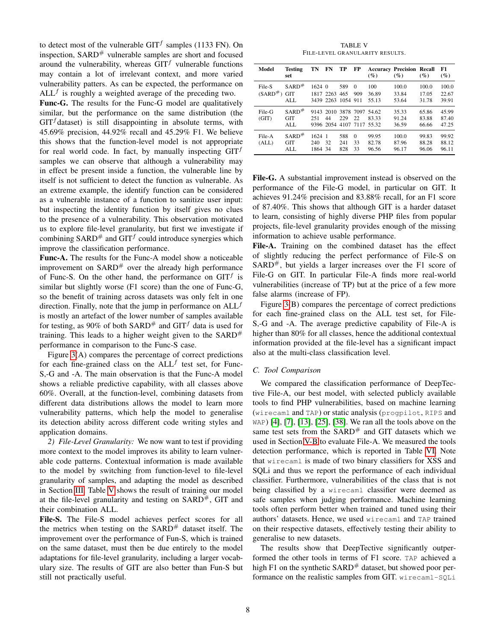to detect most of the vulnerable  $\text{GIT}^f$  samples (1133 FN). On inspection,  $SARD^{\#}$  vulnerable samples are short and focused around the vulnerability, whereas  $\text{GIT}^f$  vulnerable functions may contain a lot of irrelevant context, and more varied vulnerability patters. As can be expected, the performance on  $ALL<sup>f</sup>$  is roughly a weighted average of the preceding two.

Func-G. The results for the Func-G model are qualitatively similar, but the performance on the same distribution (the  $\text{GIT}^f$  dataset) is still disappointing in absolute terms, with 45.69% precision, 44.92% recall and 45.29% F1. We believe this shows that the function-level model is not appropriate for real world code. In fact, by manually inspecting  $\text{GIT}^f$ samples we can observe that although a vulnerability may in effect be present inside a function, the vulnerable line by itself is not sufficient to detect the function as vulnerable. As an extreme example, the identify function can be considered as a vulnerable instance of a function to sanitize user input: but inspecting the identity function by itself gives no clues to the presence of a vulnerability. This observation motivated us to explore file-level granularity, but first we investigate if combining SARD<sup>#</sup> and GIT<sup>f</sup> could introduce synergies which improve the classification performance.

Func-A. The results for the Func-A model show a noticeable improvement on  $SARD^{\#}$  over the already high performance of Func-S. On the other hand, the performance on  $\text{GIT}^f$  is similar but slightly worse (F1 score) than the one of Func-G, so the benefit of training across datasets was only felt in one direction. Finally, note that the jump in performance on  $ALL<sup>f</sup>$ is mostly an artefact of the lower number of samples available for testing, as 90% of both SARD<sup>#</sup> and GIT<sup>f</sup> data is used for training. This leads to a higher weight given to the  $SARD^{\#}$ performance in comparison to the Func-S case.

Figure [3\(](#page-8-0)A) compares the percentage of correct predictions for each fine-grained class on the  $ALL<sup>f</sup>$  test set, for Func-S,-G and -A. The main observation is that the Func-A model shows a reliable predictive capability, with all classes above 60%. Overall, at the function-level, combining datasets from different data distributions allows the model to learn more vulnerability patterns, which help the model to generalise its detection ability across different code writing styles and application domains.

*2) File-Level Granularity:* We now want to test if providing more context to the model improves its ability to learn vulnerable code patterns. Contextual information is made available to the model by switching from function-level to file-level granularity of samples, and adapting the model as described in Section [III.](#page-3-0) Table [V](#page-7-0) shows the result of training our model at the file-level granularity and testing on  $SARD^{\#}$ , GIT and their combination ALL.

File-S. The File-S model achieves perfect scores for all the metrics when testing on the  $SARD^{\#}$  dataset itself. The improvement over the performance of Fun-S, which is trained on the same dataset, must then be due entirely to the model adaptations for file-level granularity, including a larger vocabulary size. The results of GIT are also better than Fun-S but still not practically useful.

TABLE V FILE-LEVEL GRANULARITY RESULTS.

<span id="page-7-0"></span>

| Model                   | <b>Testing</b><br>set            | TN                     | FN        | ТP                               | FP                   | $($ %)                                                          | <b>Accuracy Precision Recall</b><br>$($ %) | $($ %)                  | F1<br>$($ %)            |
|-------------------------|----------------------------------|------------------------|-----------|----------------------------------|----------------------|-----------------------------------------------------------------|--------------------------------------------|-------------------------|-------------------------|
| File-S<br>$(SARD^{\#})$ | $SARD^{\#}$<br><b>GIT</b><br>AI. | $1624 \; 0$            | 1817 2263 | 589<br>465<br>3439 2263 1054 911 | $\Omega$<br>909      | 100<br>36.89<br>55.13                                           | 100.0<br>33.84<br>53.64                    | 100.0<br>17.05<br>31.78 | 100.0<br>22.67<br>39.91 |
| File-G<br>(GIT)         | $SARD^{\#}$<br><b>GIT</b><br>AI. | 251                    | 44        | 229                              | 22                   | 9143 2010 3878 7097 54.62<br>83.33<br>9396 2054 4107 7117 55.32 | 35.33<br>91.24<br>36.59                    | 65.86<br>83.88<br>66.66 | 45.99<br>87.40<br>47.25 |
| File-A<br>(ALL)         | $SARD^{\#}$<br><b>GIT</b><br>AI. | 1624<br>240<br>1864 34 | - 1<br>32 | 588<br>241<br>828                | $\Omega$<br>33<br>33 | 99.95<br>82.78<br>96.56                                         | 100.0<br>87.96<br>96.17                    | 99.83<br>88.28<br>96.06 | 99.92<br>88.12<br>96.11 |

File-G. A substantial improvement instead is observed on the performance of the File-G model, in particular on GIT. It achieves 91.24% precision and 83.88% recall, for an F1 score of 87.40%. This shows that although GIT is a harder dataset to learn, consisting of highly diverse PHP files from popular projects, file-level granularity provides enough of the missing information to achieve usable performance.

File-A. Training on the combined dataset has the effect of slightly reducing the perfect performance of File-S on  $SARD^{\#}$ , but yields a larger increases over the F1 score of File-G on GIT. In particular File-A finds more real-world vulnerabilities (increase of TP) but at the price of a few more false alarms (increase of FP).

Figure [3\(](#page-8-0)B) compares the percentage of correct predictions for each fine-grained class on the ALL test set, for File-S,-G and -A. The average predictive capability of File-A is higher than 80% for all classes, hence the additional contextual information provided at the file-level has a significant impact also at the multi-class classification level.

# <span id="page-7-1"></span>*C. Tool Comparison*

We compared the classification performance of DeepTective File-A, our best model, with selected publicly available tools to find PHP vulnerabilities, based on machine learning (wirecaml and TAP) or static analysis (progpilot, RIPS and WAP) [\[4\]](#page-11-17), [\[7\]](#page-11-19), [\[13\]](#page-11-7), [\[25\]](#page-12-2), [\[38\]](#page-12-15). We ran all the tools above on the same test sets from the  $SARD^{\#}$  and GIT datasets which we used in Section [V-B](#page-6-2) to evaluate File-A. We measured the tools detection performance, which is reported in Table [VI.](#page-8-1) Note that wirecaml is made of two binary classifiers for XSS and SQLi and thus we report the performance of each individual classifier. Furthermore, vulnerabilities of the class that is not being classified by a wirecaml classifier were deemed as safe samples when judging performance. Machine learning tools often perform better when trained and tuned using their authors' datasets. Hence, we used wirecaml and TAP trained on their respective datasets, effectively testing their ability to generalise to new datasets.

The results show that DeepTective significantly outperformed the other tools in terms of F1 score. TAP achieved a high F1 on the synthetic  $SARD^{\#}$  dataset, but showed poor performance on the realistic samples from GIT. wirecaml-SQLi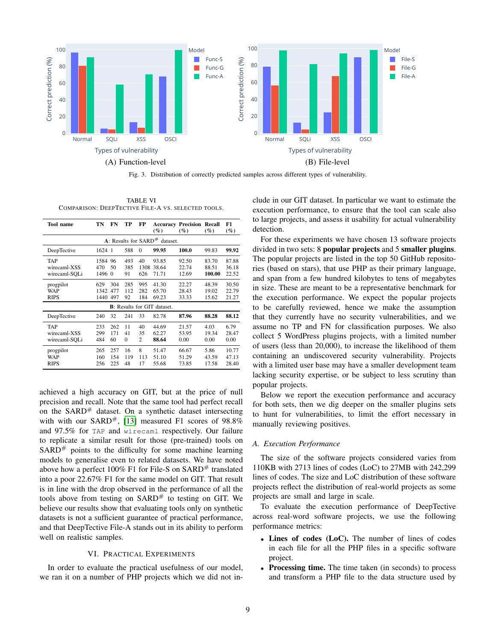

<span id="page-8-0"></span>Fig. 3. Distribution of correctly predicted samples across different types of vulnerability.

TABLE VI COMPARISON: DEEPTECTIVE FILE-A VS. SELECTED TOOLS.

<span id="page-8-1"></span>

| Tool name                              | TN                  | FN                       | TP                   | FP                         | $($ %)                                                         | <b>Accuracy Precision</b><br>$( \% )$ | Recall<br>$($ %)         | F1<br>$(\%)$            |
|----------------------------------------|---------------------|--------------------------|----------------------|----------------------------|----------------------------------------------------------------|---------------------------------------|--------------------------|-------------------------|
|                                        |                     |                          |                      |                            | A: Results for SARD <sup>#</sup> dataset.                      |                                       |                          |                         |
| DeepTective                            | 1624 1              |                          | 588                  | $\Omega$                   | 99.95                                                          | 100.0                                 | 99.83                    | 99.92                   |
| TAP<br>wirecaml-XSS<br>wirecaml-SQLi   | 1584<br>470<br>1496 | 96<br>50<br>$\mathbf{0}$ | 493<br>385<br>91     | 40<br>1308<br>626          | 93.85<br>38.64<br>71.71                                        | 92.50<br>22.74<br>12.69               | 83.70<br>88.51<br>100.00 | 87.88<br>36.18<br>22.52 |
| progpilot<br><b>WAP</b><br><b>RIPS</b> | 629<br>1342<br>1440 | 304<br>477<br>497        | 285<br>112<br>92     | 995<br>282<br>184          | 41.30<br>65.70<br>69.23<br><b>B</b> : Results for GIT dataset. | 22.27<br>28.43<br>33.33               | 48.39<br>19.02<br>15.62  | 30.50<br>22.79<br>21.27 |
| DeepTective                            | 240                 | 32                       | 241                  | 33                         | 82.78                                                          | 87.96                                 | 88.28                    | 88.12                   |
| TAP<br>wirecaml-XSS<br>wirecaml-SOLi   | 233<br>299<br>484   | 262<br>171<br>60         | 11<br>41<br>$\Omega$ | 40<br>35<br>$\overline{c}$ | 44.69<br>62.27<br>88.64                                        | 21.57<br>53.95<br>0.00                | 4.03<br>19.34<br>0.00    | 6.79<br>28.47<br>0.00   |
| progpilot<br><b>WAP</b><br><b>RIPS</b> | 265<br>160<br>256   | 257<br>154<br>225        | 16<br>119<br>48      | 8<br>113<br>17             | 51.47<br>51.10<br>55.68                                        | 66.67<br>51.29<br>73.85               | 5.86<br>43.59<br>17.58   | 10.77<br>47.13<br>28.40 |

achieved a high accuracy on GIT, but at the price of null precision and recall. Note that the same tool had perfect recall on the SARD<sup>#</sup> dataset. On a synthetic dataset intersecting with with our  $SARD^{\#}$ , [\[13\]](#page-11-7) measured F1 scores of 98.8% and 97.5% for TAP and wirecaml respectively. Our failure to replicate a similar result for those (pre-trained) tools on  $SARD^{\#}$  points to the difficulty for some machine learning models to generalise even to related datasets. We have noted above how a perfect 100% F1 for File-S on SARD<sup>#</sup> translated into a poor 22.67% F1 for the same model on GIT. That result is in line with the drop observed in the performance of all the tools above from testing on  $SARD^{\#}$  to testing on GIT. We believe our results show that evaluating tools only on synthetic datasets is not a sufficient guarantee of practical performance, and that DeepTective File-A stands out in its ability to perform well on realistic samples.

## VI. PRACTICAL EXPERIMENTS

In order to evaluate the practical usefulness of our model, we ran it on a number of PHP projects which we did not include in our GIT dataset. In particular we want to estimate the execution performance, to ensure that the tool can scale also to large projects, and assess it usability for actual vulnerability detection.

For these experiments we have chosen 13 software projects divided in two sets: 8 popular projects and 5 smaller plugins. The popular projects are listed in the top 50 GitHub repositories (based on stars), that use PHP as their primary language, and span from a few hundred kilobytes to tens of megabytes in size. These are meant to be a representative benchmark for the execution performance. We expect the popular projects to be carefully reviewed, hence we make the assumption that they currently have no security vulnerabilities, and we assume no TP and FN for classification purposes. We also collect 5 WordPress plugins projects, with a limited number of users (less than 20,000), to increase the likelihood of them containing an undiscovered security vulnerability. Projects with a limited user base may have a smaller development team lacking security expertise, or be subject to less scrutiny than popular projects.

Below we report the execution performance and accuracy for both sets, then we dig deeper on the smaller plugins sets to hunt for vulnerabilities, to limit the effort necessary in manually reviewing positives.

## *A. Execution Performance*

The size of the software projects considered varies from 110KB with 2713 lines of codes (LoC) to 27MB with 242,299 lines of codes. The size and LoC distribution of these software projects reflect the distribution of real-world projects as some projects are small and large in scale.

To evaluate the execution performance of DeepTective across real-word software projects, we use the following performance metrics:

- Lines of codes (LoC). The number of lines of codes in each file for all the PHP files in a specific software project.
- Processing time. The time taken (in seconds) to process and transform a PHP file to the data structure used by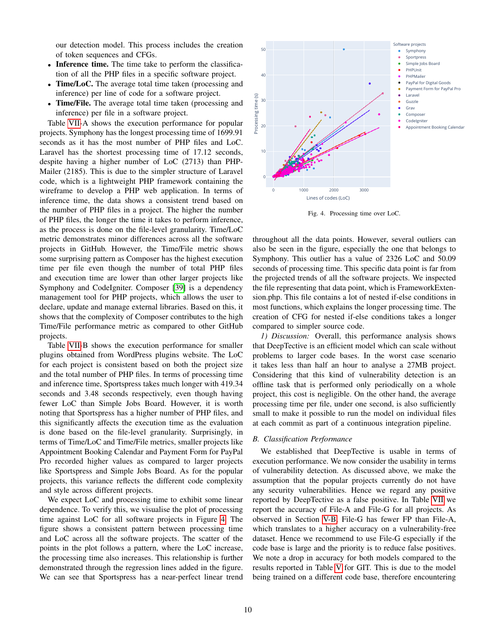our detection model. This process includes the creation of token sequences and CFGs.

- Inference time. The time take to perform the classification of all the PHP files in a specific software project.
- Time/LoC. The average total time taken (processing and inference) per line of code for a software project.
- Time/File. The average total time taken (processing and inference) per file in a software project.

Table [VII-](#page-10-0)A shows the execution performance for popular projects. Symphony has the longest processing time of 1699.91 seconds as it has the most number of PHP files and LoC. Laravel has the shortest processing time of 17.12 seconds, despite having a higher number of LoC (2713) than PHP-Mailer (2185). This is due to the simpler structure of Laravel code, which is a lightweight PHP framework containing the wireframe to develop a PHP web application. In terms of inference time, the data shows a consistent trend based on the number of PHP files in a project. The higher the number of PHP files, the longer the time it takes to perform inference, as the process is done on the file-level granularity. Time/LoC metric demonstrates minor differences across all the software projects in GitHub. However, the Time/File metric shows some surprising pattern as Composer has the highest execution time per file even though the number of total PHP files and execution time are lower than other larger projects like Symphony and CodeIgniter. Composer [\[39\]](#page-12-16) is a dependency management tool for PHP projects, which allows the user to declare, update and manage external libraries. Based on this, it shows that the complexity of Composer contributes to the high Time/File performance metric as compared to other GitHub projects.

Table [VII-](#page-10-0)B shows the execution performance for smaller plugins obtained from WordPress plugins website. The LoC for each project is consistent based on both the project size and the total number of PHP files. In terms of processing time and inference time, Sportspress takes much longer with 419.34 seconds and 3.48 seconds respectively, even though having fewer LoC than Simple Jobs Board. However, it is worth noting that Sportspress has a higher number of PHP files, and this significantly affects the execution time as the evaluation is done based on the file-level granularity. Surprisingly, in terms of Time/LoC and Time/File metrics, smaller projects like Appointment Booking Calendar and Payment Form for PayPal Pro recorded higher values as compared to larger projects like Sportspress and Simple Jobs Board. As for the popular projects, this variance reflects the different code complexity and style across different projects.

We expect LoC and processing time to exhibit some linear dependence. To verify this, we visualise the plot of processing time against LoC for all software projects in Figure [4.](#page-9-0) The figure shows a consistent pattern between processing time and LoC across all the software projects. The scatter of the points in the plot follows a pattern, where the LoC increase, the processing time also increases. This relationship is further demonstrated through the regression lines added in the figure. We can see that Sportspress has a near-perfect linear trend



<span id="page-9-0"></span>Fig. 4. Processing time over LoC.

throughout all the data points. However, several outliers can also be seen in the figure, especially the one that belongs to Symphony. This outlier has a value of 2326 LoC and 50.09 seconds of processing time. This specific data point is far from the projected trends of all the software projects. We inspected the file representing that data point, which is FrameworkExtension.php. This file contains a lot of nested if-else conditions in most functions, which explains the longer processing time. The creation of CFG for nested if-else conditions takes a longer compared to simpler source code.

*1) Discussion:* Overall, this performance analysis shows that DeepTective is an efficient model which can scale without problems to larger code bases. In the worst case scenario it takes less than half an hour to analyse a 27MB project. Considering that this kind of vulnerability detection is an offline task that is performed only periodically on a whole project, this cost is negligible. On the other hand, the average processing time per file, under one second, is also sufficiently small to make it possible to run the model on individual files at each commit as part of a continuous integration pipeline.

# *B. Classification Performance*

We established that DeepTective is usable in terms of execution performance. We now consider the usability in terms of vulnerability detection. As discussed above, we make the assumption that the popular projects currently do not have any security vulnerabilities. Hence we regard any positive reported by DeepTective as a false positive. In Table [VII](#page-10-0) we report the accuracy of File-A and File-G for all projects. As observed in Section [V-B,](#page-6-2) File-G has fewer FP than File-A, which translates to a higher accuracy on a vulnerability-free dataset. Hence we recommend to use File-G especially if the code base is large and the priority is to reduce false positives. We note a drop in accuracy for both models compared to the results reported in Table [V](#page-7-0) for GIT. This is due to the model being trained on a different code base, therefore encountering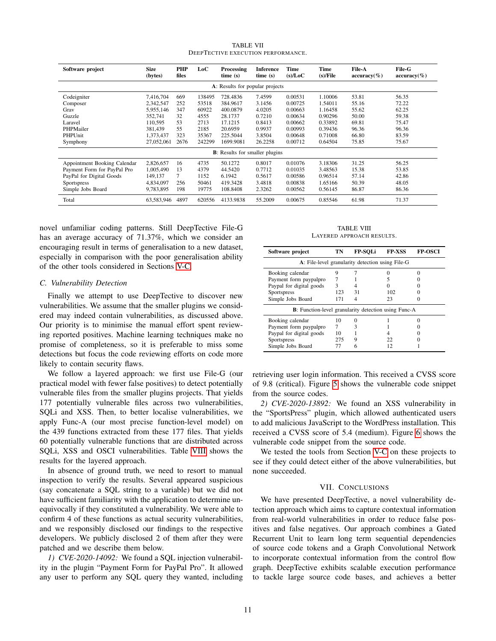| <b>TABLE VII</b> |                                    |
|------------------|------------------------------------|
|                  | DEEPTECTIVE EXECUTION PERFORMANCE. |

<span id="page-10-0"></span>

| Software project             | <b>Size</b><br>(bytes) | <b>PHP</b><br>files | LoC    | Processing<br>time(s)                  | <b>Inference</b><br>time(s) | Time<br>$(s)/L_0C$ | Time<br>(s)/File | File-A<br>$accuracy(\%)$ | File-G<br>$accuracy(\%)$ |
|------------------------------|------------------------|---------------------|--------|----------------------------------------|-----------------------------|--------------------|------------------|--------------------------|--------------------------|
|                              |                        |                     |        | A: Results for popular projects        |                             |                    |                  |                          |                          |
| Codeigniter                  | 7,416,704              | 669                 | 138495 | 728.4836                               | 7.4599                      | 0.00531            | 1.10006          | 53.81                    | 56.35                    |
| Composer                     | 2,342,547              | 252                 | 53518  | 384.9617                               | 3.1456                      | 0.00725            | 1.54011          | 55.16                    | 72.22                    |
| Grav                         | 5,955,146              | 347                 | 60922  | 400.0879                               | 4.0205                      | 0.00663            | 1.16458          | 55.62                    | 62.25                    |
| Guzzle                       | 352,741                | 32                  | 4555   | 28.1737                                | 0.7210                      | 0.00634            | 0.90296          | 50.00                    | 59.38                    |
| Laravel                      | 110,595                | 53                  | 2713   | 17.1215                                | 0.8413                      | 0.00662            | 0.33892          | 69.81                    | 75.47                    |
| PHPMailer                    | 381,439                | 55                  | 2185   | 20.6959                                | 0.9937                      | 0.00993            | 0.39436          | 96.36                    | 96.36                    |
| PHPUnit                      | 1.373.437              | 323                 | 35367  | 225.5044                               | 3.8504                      | 0.00648            | 0.71008          | 66.80                    | 83.59                    |
| Symphony                     | 27,052,061             | 2676                | 242299 | 1699.9081                              | 26.2258                     | 0.00712            | 0.64504          | 75.85                    | 75.67                    |
|                              |                        |                     |        | <b>B</b> : Results for smaller plugins |                             |                    |                  |                          |                          |
| Appointment Booking Calendar | 2,826,657              | 16                  | 4735   | 50.1272                                | 0.8017                      | 0.01076            | 3.18306          | 31.25                    | 56.25                    |
| Payment Form for PayPal Pro  | 1,005,490              | 13                  | 4379   | 44.5420                                | 0.7712                      | 0.01035            | 3.48563          | 15.38                    | 53.85                    |
| PayPal for Digital Goods     | 149,137                |                     | 1152   | 6.1942                                 | 0.5617                      | 0.00586            | 0.96514          | 57.14                    | 42.86                    |
| <b>Sportspress</b>           | 4.834.097              | 256                 | 50461  | 419.3428                               | 3.4818                      | 0.00838            | 1.65166          | 50.39                    | 48.05                    |
| Simple Jobs Board            | 9,783,895              | 198                 | 19775  | 108.8408                               | 2.3262                      | 0.00562            | 0.56145          | 86.87                    | 86.36                    |
| Total                        | 63,583,946             | 4897                | 620556 | 4133.9838                              | 55.2009                     | 0.00675            | 0.85546          | 61.98                    | 71.37                    |

novel unfamiliar coding patterns. Still DeepTective File-G has an average accuracy of 71.37%, which we consider an encouraging result in terms of generalisation to a new dataset, especially in comparison with the poor generalisation ability of the other tools considered in Sections [V-C.](#page-7-1)

## *C. Vulnerability Detection*

Finally we attempt to use DeepTective to discover new vulnerabilities. We assume that the smaller plugins we considered may indeed contain vulnerabilities, as discussed above. Our priority is to minimise the manual effort spent reviewing reported positives. Machine learning techniques make no promise of completeness, so it is preferable to miss some detections but focus the code reviewing efforts on code more likely to contain security flaws.

We follow a layered approach: we first use File-G (our practical model with fewer false positives) to detect potentially vulnerable files from the smaller plugins projects. That yields 177 potentially vulnerable files across two vulnerabilities, SQLi and XSS. Then, to better localise vulnerabilities, we apply Func-A (our most precise function-level model) on the 439 functions extracted from these 177 files. That yields 60 potentially vulnerable functions that are distributed across SQLi, XSS and OSCI vulnerabilities. Table [VIII](#page-10-1) shows the results for the layered approach.

In absence of ground truth, we need to resort to manual inspection to verify the results. Several appeared suspicious (say concatenate a SQL string to a variable) but we did not have sufficient familiarity with the application to determine unequivocally if they constituted a vulnerability. We were able to confirm 4 of these functions as actual security vulnerabilities, and we responsibly disclosed our findings to the respective developers. We publicly disclosed 2 of them after they were patched and we describe them below.

*1) CVE-2020-14092:* We found a SQL injection vulnerability in the plugin "Payment Form for PayPal Pro". It allowed any user to perform any SQL query they wanted, including

TABLE VIII LAYERED APPROACH RESULTS.

<span id="page-10-1"></span>

| Software project                                             | TN  | FP-SOLi                                          | <b>FP-XSS</b> | <b>FP-OSCI</b> |
|--------------------------------------------------------------|-----|--------------------------------------------------|---------------|----------------|
|                                                              |     | A: File-level granularity detection using File-G |               |                |
| Booking calendar                                             | 9   |                                                  |               |                |
| Payment form paypalpro                                       | 7   |                                                  |               |                |
| Paypal for digital goods                                     | 3   |                                                  |               |                |
| Sportspress                                                  | 123 | 31                                               | 102           |                |
| Simple Jobs Board                                            | 171 | 4                                                | 23            |                |
| <b>B</b> : Function-level granularity detection using Func-A |     |                                                  |               |                |
| Booking calendar                                             | 10  |                                                  |               |                |
| Payment form paypalpro                                       | 7   |                                                  |               |                |
| Paypal for digital goods                                     | 10  |                                                  |               |                |
| <b>Sportspress</b>                                           | 275 | 9                                                | 22            |                |
| Simple Jobs Board                                            | 77  |                                                  | 12            |                |

retrieving user login information. This received a CVSS score of 9.8 (critical). Figure [5](#page-11-22) shows the vulnerable code snippet from the source codes.

*2) CVE-2020-13892:* We found an XSS vulnerability in the "SportsPress" plugin, which allowed authenticated users to add malicious JavaScript to the WordPress installation. This received a CVSS score of 5.4 (medium). Figure [6](#page-11-23) shows the vulnerable code snippet from the source code.

We tested the tools from Section [V-C](#page-7-1) on these projects to see if they could detect either of the above vulnerabilities, but none succeeded.

## VII. CONCLUSIONS

We have presented DeepTective, a novel vulnerability detection approach which aims to capture contextual information from real-world vulnerabilities in order to reduce false positives and false negatives. Our approach combines a Gated Recurrent Unit to learn long term sequential dependencies of source code tokens and a Graph Convolutional Network to incorporate contextual information from the control flow graph. DeepTective exhibits scalable execution performance to tackle large source code bases, and achieves a better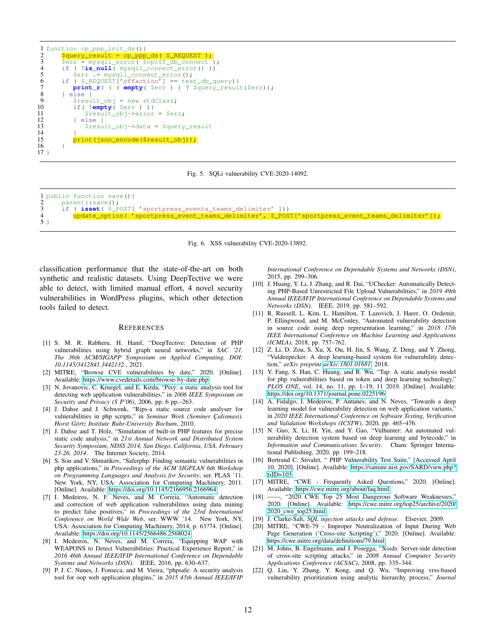```
1 function cp_ppp_init_ds(){<br>2 Squery result = cp ppp
 2 $query_result = cp_ppp_ds( $_REQUEST );
 3 $err = mysqli_error( $cpcff_db_connect );
 4 if ( \frac{\mathbf{is}\_null}{\mathbf{is}\_null} mysqli_connect_error() ))<br>5 \text{Serr} = \text{mysgll}\_connect\_error();
 5 $err .= mysqli_connect_error();
6 if ( $_REQUEST['cffaction'] == test_db_query){
 7 print_r( ( ( empty( $err ) ) ? $query_result:$err));
8 } else {
9 $result_obj = new stdClass;<br>10 if (!empty($err)){
10 if( \frac{empty( $err ) ){<br>11 $result obj->error
11 $result_obj->error = $err;<br>12 } else {
12 } else {<br>13 } $resu
                  13 $result_obj->data = $query_result
14 }
             print(json_encode($result_obj));
16 \rightarrow17 }
```
<span id="page-11-22"></span>Fig. 5. SQLi vulnerability CVE-2020-14092.

|   | 1 public function save() {                                                                      |
|---|-------------------------------------------------------------------------------------------------|
|   | parent::save();                                                                                 |
|   | if ( <b>isset</b> ( $\S$ POST [ 'sportpress_events_teams_delimiter' ]))                         |
| 4 | update_option('sportpress_event_teams_delimiter', \$_POST['sportpress_event_teams_delimiter']); |
|   |                                                                                                 |

<span id="page-11-23"></span>Fig. 6. XSS vulnerability CVE-2020-13892.

classification performance that the state-of-the-art on both synthetic and realistic datasets. Using DeepTective we were able to detect, with limited manual effort, 4 novel security vulnerabilities in WordPress plugins, which other detection tools failed to detect.

#### **REFERENCES**

- <span id="page-11-9"></span>[1] S. M. R. Rabheru, H. Hanif, "DeepTective: Detection of PHP vulnerabilities using hybrid graph neural networks," in *SAC '21. The 36th ACM/SIGAPP Symposium on Applied Computing. DOI: 10.1145/3412841.3442132.*, 2021.
- <span id="page-11-0"></span>[2] MITRE, "Browse CVE vulnerabilities by date," 2020. [Online]. Available:<https://www.cvedetails.com/browse-by-date.php>
- <span id="page-11-1"></span>[3] N. Jovanovic, C. Kruegel, and E. Kirda, "Pixy: a static analysis tool for detecting web application vulnerabilities," in *2006 IEEE Symposium on Security and Privacy (S P'06)*, 2006, pp. 6 pp.–263.
- <span id="page-11-17"></span>[4] J. Dahse and J. Schwenk, "Rips-a static source code analyser for vulnerabilities in php scripts," in *Seminar Work (Seminer Çalismasi)*. *Horst Görtz Institute Ruhr-University Bochum, 2010.*
- <span id="page-11-2"></span>[5] J. Dahse and T. Holz, "Simulation of built-in PHP features for precise static code analysis," in *21st Annual Network and Distributed System Security Symposium, NDSS 2014, San Diego, California, USA, February 23-26, 2014*. The Internet Society, 2014.
- <span id="page-11-3"></span>[6] S. Son and V. Shmatikov, "Saferphp: Finding semantic vulnerabilities in php applications," in *Proceedings of the ACM SIGPLAN 6th Workshop on Programming Languages and Analysis for Security*, ser. PLAS '11. New York, NY, USA: Association for Computing Machinery, 2011. [Online]. Available:<https://doi.org/10.1145/2166956.2166964>
- <span id="page-11-19"></span>[7] I. Medeiros, N. F. Neves, and M. Correia, "Automatic detection and correction of web application vulnerabilities using data mining to predict false positives," in *Proceedings of the 23rd International Conference on World Wide Web*, ser. WWW '14. New York, NY, USA: Association for Computing Machinery, 2014, p. 63?74. [Online]. Available:<https://doi.org/10.1145/2566486.2568024>
- <span id="page-11-20"></span>[8] I. Medeiros, N. Neves, and M. Correia, "Equipping WAP with WEAPONS to Detect Vulnerabilities: Practical Experience Report," in *2016 46th Annual IEEE/IFIP International Conference on Dependable Systems and Networks (DSN)*. IEEE, 2016, pp. 630–637.
- <span id="page-11-18"></span>[9] P. J. C. Nunes, J. Fonseca, and M. Vieira, "phpsafe: A security analysis tool for oop web application plugins," in *2015 45th Annual IEEE/IFIP*

*International Conference on Dependable Systems and Networks (DSN)*, 2015, pp. 299–306.

- <span id="page-11-4"></span>[10] J. Huang, Y. Li, J. Zhang, and R. Dai, "UChecker: Automatically Detecting PHP-Based Unrestricted File Upload Vulnerabilities," in *2019 49th Annual IEEE/IFIP International Conference on Dependable Systems and Networks (DSN)*. IEEE, 2019, pp. 581–592.
- <span id="page-11-5"></span>[11] R. Russell, L. Kim, L. Hamilton, T. Lazovich, J. Harer, O. Ozdemir, P. Ellingwood, and M. McConley, "Automated vulnerability detection in source code using deep representation learning," in *2018 17th IEEE International Conference on Machine Learning and Applications (ICMLA)*, 2018, pp. 757–762.
- <span id="page-11-6"></span>[12] Z. Li, D. Zou, S. Xu, X. Ou, H. Jin, S. Wang, Z. Deng, and Y. Zhong, "Vuldeepecker: A deep learning-based system for vulnerability detection," *arXiv preprint [arXiv:1801.01681](http://arxiv.org/abs/1801.01681)*, 2018.
- <span id="page-11-7"></span>[13] Y. Fang, S. Han, C. Huang, and R. Wu, "Tap: A static analysis model for php vulnerabilities based on token and deep learning technology," *PLOS ONE*, vol. 14, no. 11, pp. 1–19, 11 2019. [Online]. Available: <https://doi.org/10.1371/journal.pone.0225196>
- <span id="page-11-21"></span>[14] A. Fidalgo, I. Medeiros, P. Antunes, and N. Neves, "Towards a deep learning model for vulnerability detection on web application variants,' in *2020 IEEE International Conference on Software Testing, Verification and Validation Workshops (ICSTW)*, 2020, pp. 465–476.
- <span id="page-11-8"></span>[15] N. Guo, X. Li, H. Yin, and Y. Gao, "Vulhunter: An automated vulnerability detection system based on deep learning and bytecode," in *Information and Communications Security*. Cham: Springer International Publishing, 2020, pp. 199–218.
- <span id="page-11-10"></span>[16] Bertrand C. Stivalet, " PHP Vulnerability Test Suite," [Accessed April 10, 2020]. [Online]. Available: [https://samate.nist.gov/SARD/view.php?](https://samate.nist.gov/SARD/view.php?tsID=103) [tsID=103](https://samate.nist.gov/SARD/view.php?tsID=103)
- <span id="page-11-11"></span>[17] MITRE, "CWE - Frequently Asked Questions," 2020. [Online]. Available:<https://cwe.mitre.org/about/faq.html>
- <span id="page-11-12"></span>[18] ——, "2020 CWE Top 25 Most Dangerous Software Weaknesses," 2020. [Online]. Available: [https://cwe.mitre.org/top25/archive/2020/](https://cwe.mitre.org/top25/archive/2020/2020_cwe_top25.html) 2020 cwe [top25.html](https://cwe.mitre.org/top25/archive/2020/2020_cwe_top25.html)
- <span id="page-11-13"></span>[19] J. Clarke-Salt, *SQL injection attacks and defense*. Elsevier, 2009.
- <span id="page-11-14"></span>[20] MITRE, "CWE-79 - Improper Neutralization of Input During Web Page Generation ('Cross-site Scripting')," 2020. [Online]. Available: <https://cwe.mitre.org/data/definitions/79.html>
- <span id="page-11-15"></span>[21] M. Johns, B. Engelmann, and J. Posegga, "Xssds: Server-side detection of cross-site scripting attacks," in *2008 Annual Computer Security Applications Conference (ACSAC)*, 2008, pp. 335–344.
- <span id="page-11-16"></span>[22] Q. Liu, Y. Zhang, Y. Kong, and Q. Wu, "Improving vrss-based vulnerability prioritization using analytic hierarchy process," *Journal*